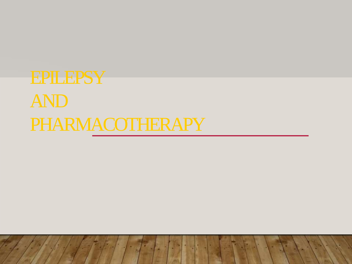# EPILEPSY AND PHARMACOTHERAPY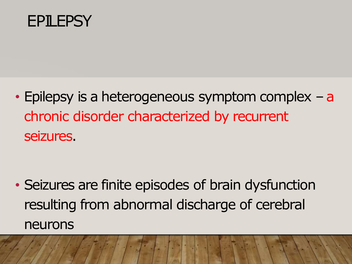

• Epilepsy is a heterogeneous symptom complex  $-$  a chronic disorder characterized by recurrent seizures.

• Seizures are finite episodes of brain dysfunction resulting from abnormal discharge of cerebral neurons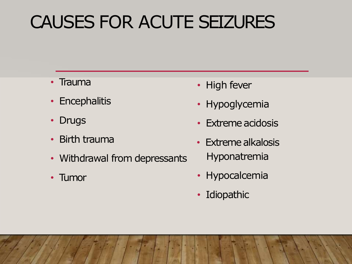# CAUSES FOR ACUTE SEIZURES

- Trauma
- Encephalitis
- Drugs
- Birth trauma
- Withdrawal from depressants
- Tumor
- High fever
- Hypoglycemia
- Extreme acidosis
- Extreme alkalosis Hyponatremia
- Hypocalcemia
- Idiopathic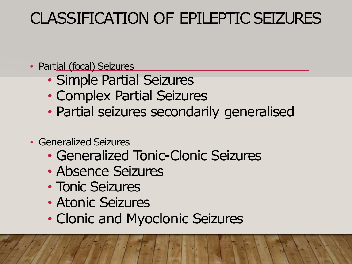### CLASSIFICATION OF EPILEPTIC SEIZURES

- Partial (focal) Seizures
	- Simple Partial Seizures
	- Complex Partial Seizures
	- Partial seizures secondarily generalised
- Generalized Seizures
	- Generalized Tonic-Clonic Seizures
	- Absence Seizures
	- Tonic Seizures
	- Atonic Seizures
	- Clonic and Myoclonic Seizures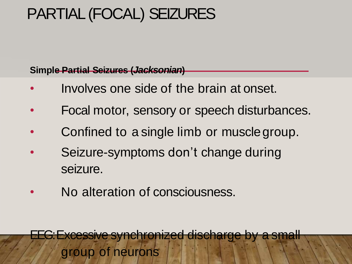### PARTIAL (FOCAL) SEIZURES

**Simple Partial Seizures (***Jacksonian***)**

- Involves one side of the brain at onset.
- Focal motor, sensory or speech disturbances.
- Confined to a single limb or musclegroup.
- Seizure-symptoms don't change during seizure.
- No alteration of consciousness.

EEG: Excessive synchronized discharge by a small group of neurons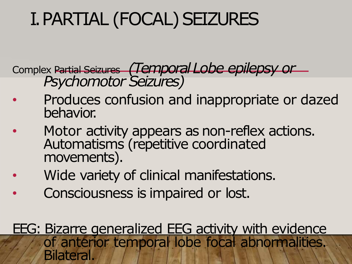# I. PARTIAL (FOCAL) SEIZURES

Complex Partial Seizures *(Temporal Lobe epilepsy or Psychomotor Seizures)*

- Produces confusion and inappropriate or dazed behavior.
- Motor activity appears as non-reflex actions. Automatisms (repetitive coordinated movements).
- Wide variety of clinical manifestations.
- Consciousness is impaired or lost.
- EEG: Bizarre generalized EEG activity with evidence of anterior temporal lobe focal abnormalities. **Bilateral**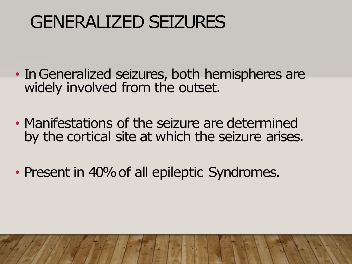# GENERALIZED SEIZURES

- In Generalized seizures, both hemispheres are widely involved from the outset.
- Manifestations of the seizure are determined by the cortical site at which the seizure arises.
- Present in 40% of all epileptic Syndromes.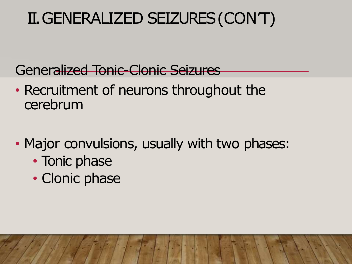Generalized Tonic-Clonic Seizures

- Recruitment of neurons throughout the cerebrum
- Major convulsions, usually with two phases:
	- Tonic phase
	- Clonic phase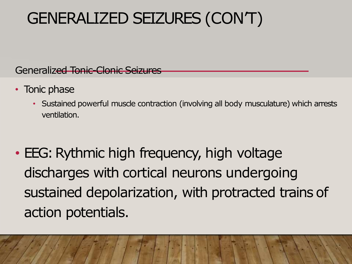Generalized Tonic-Clonic Seizures

- Tonic phase
	- Sustained powerful muscle contraction (involving all body musculature) which arrests ventilation.
- EEG: Rythmic high frequency, high voltage discharges with cortical neurons undergoing sustained depolarization, with protracted trains of action potentials.

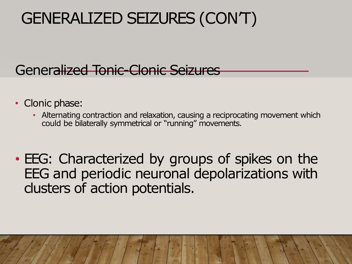### Generalized Tonic-Clonic Seizures

- Clonic phase:
	- Alternating contraction and relaxation, causing a reciprocating movement which could be bilaterally symmetrical or "running" movements.
- EEG: Characterized by groups of spikes on the EEG and periodic neuronal depolarizations with clusters of action potentials.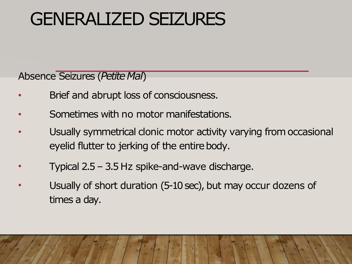# GENERALIZED SEIZURES

Absence Seizures (Petite Mal)

- Brief and abrupt loss of consciousness.
- Sometimes with no motor manifestations.
- Usually symmetrical clonic motor activity varying from occasional eyelid flutter to jerking of the entire body.
- Typical 2.5 – 3.5 Hz spike-and-wave discharge.
- Usually of short duration (5-10 sec), but may occur dozens of times a day.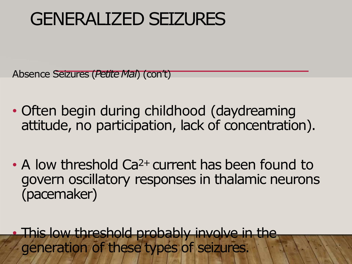# GENERALIZED SEIZURES

Absence Seizures (*Petite Mal*) (con't)

- Often begin during childhood (daydreaming attitude, no participation, lack of concentration).
- A low threshold Ca<sup>2+</sup> current has been found to govern oscillatory responses in thalamic neurons (pacemaker)

This low threshold probably involve in the generation of these types of seizures.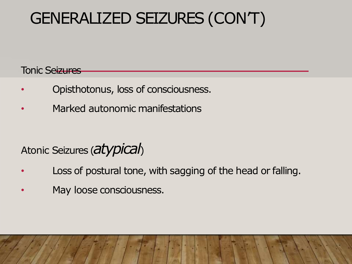Tonic Seizures

- Opisthotonus, loss of consciousness.
- Marked autonomic manifestations

### Atonic Seizures (*atypical*)

- Loss of postural tone, with sagging of the head or falling.
- May loose consciousness.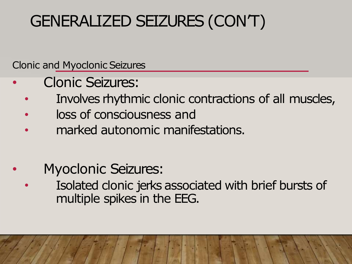Clonic and Myoclonic Seizures

- Clonic Seizures:
	- Involves rhythmic clonic contractions of all muscles,
	- loss of consciousness and
	- marked autonomic manifestations.
	- Myoclonic Seizures:
		- Isolated clonic jerks associated with brief bursts of multiple spikes in the EEG.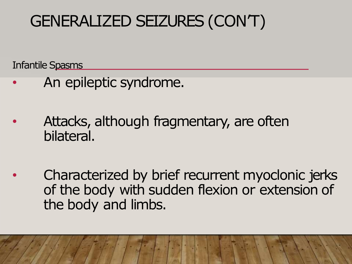Infantile Spasms

- An epileptic syndrome.
- Attacks, although fragmentary, are often bilateral.
- Characterized by brief recurrent myoclonic jerks of the body with sudden flexion or extension of the body and limbs.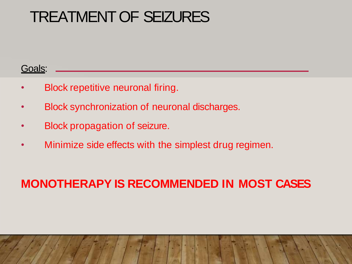#### Goals:

- Block repetitive neuronal firing.
- Block synchronization of neuronal discharges.
- Block propagation of seizure.
- Minimize side effects with the simplest drug regimen.

#### **MONOTHERAPY IS RECOMMENDED IN MOST CASES**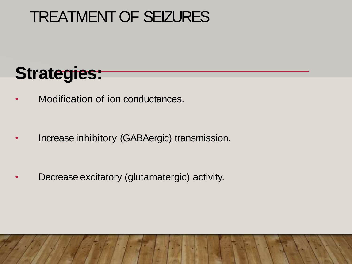# **Strategies:**

• Modification of ion conductances.

Increase inhibitory (GABAergic) transmission.

• Decrease excitatory (glutamatergic) activity.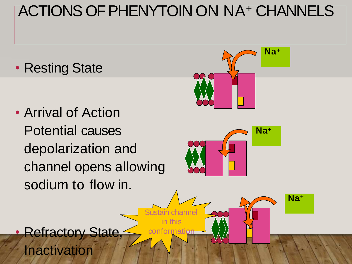### ACTIONS OF PHENYTOIN ON NA<sup>+</sup> CHANNELS

• Resting State

• Arrival of Action Potential causes depolarization and channel opens allowing sodium to flow in.



Inactivation

**Refractory State**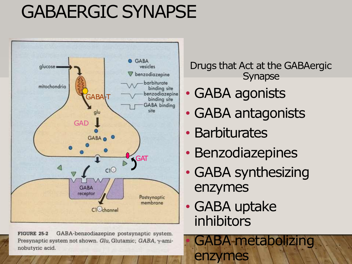# GABAERGIC SYNAPSE



GABA-benzodiazepine postsynaptic system. **FIGURE 25-2** Presynaptic system not shown. Glu, Glutamic; GABA, y-aminobutyric acid.

Drugs that Act at the GABAergic Synapse

- GABA agonists
- GABA antagonists
- Barbiturates
- Benzodiazepines
- GABA synthesizing enzymes
- GABA uptake inhibitors

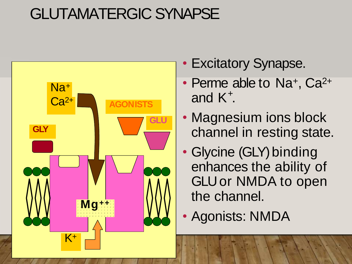### GLUTAMATERGIC SYNAPSE



- Excitatory Synapse.
- Perme able to Na<sup>+</sup>, Ca<sup>2+</sup> and  $K^+$ .
- Magnesium ions block channel in resting state.
- Glycine (GLY) binding enhances the ability of GLU or NMDA to open the channel.
- Agonists: NMDA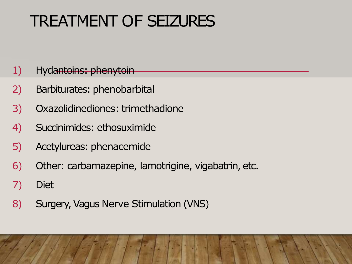#### 1) Hydantoins: phenytoin

- 2) Barbiturates: phenobarbital
- 3) Oxazolidinediones: trimethadione
- 4) Succinimides: ethosuximide
- 5) Acetylureas: phenacemide
- 6) Other: carbamazepine, lamotrigine, vigabatrin, etc.
- 7) Diet
- 8) Surgery, Vagus Nerve Stimulation (VNS)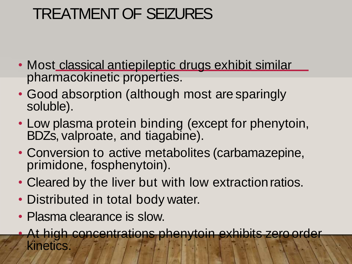- Most classical antiepileptic drugs exhibit similar pharmacokinetic properties.
- Good absorption (although most are sparingly soluble).
- Low plasma protein binding (except for phenytoin, BDZs, valproate, and tiagabine).
- Conversion to active metabolites (carbamazepine, primidone, fosphenytoin).
- Cleared by the liver but with low extractionratios.
- Distributed in total body water.
- Plasma clearance is slow.
	- At high concentrations phenytoin exhibits zero order kinetics.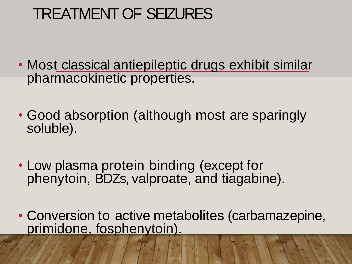- Most classical antiepileptic drugs exhibit similar pharmacokinetic properties.
- Good absorption (although most are sparingly soluble).
- Low plasma protein binding (except for phenytoin, BDZs, valproate, and tiagabine).
- Conversion to active metabolites (carbamazepine, primidone, fosphenytoin).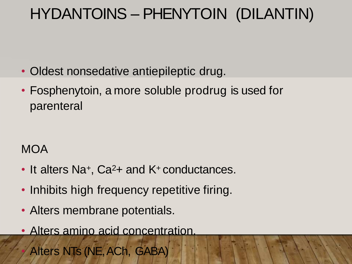### HYDANTOINS – PHENYTOIN (DILANTIN)

- Oldest nonsedative antiepileptic drug.
- Fosphenytoin, a more soluble prodrug is used for parenteral

#### **MOA**

- It alters Na<sup>+</sup>, Ca<sup>2</sup>+ and K<sup>+</sup> conductances.
- Inhibits high frequency repetitive firing.
- Alters membrane potentials.
- Alters amino acid concentration.

• Alters NTs (NE, ACh, GABA)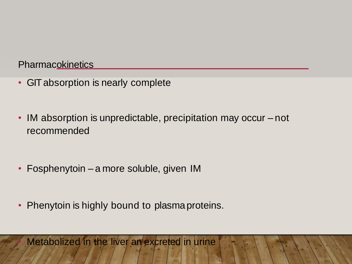**Pharmacokinetics** 

- GIT absorption is nearly complete
- IM absorption is unpredictable, precipitation may occur not recommended

- Fosphenytoin a more soluble, given IM
- Phenytoin is highly bound to plasma proteins.

Metabolized in the liver an excreted in urine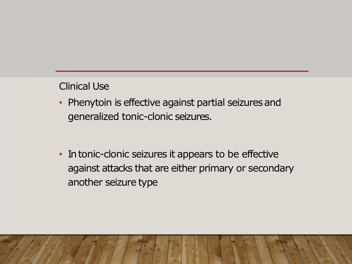#### Clinical Use

- Phenytoin is effective against partial seizures and generalized tonic-clonic seizures.
- In tonic-clonic seizures it appears to be effective against attacks that are either primary or secondary another seizure type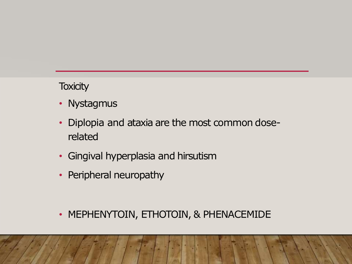#### **Toxicity**

- Nystagmus
- Diplopia and ataxia are the most common doserelated
- Gingival hyperplasia and hirsutism
- Peripheral neuropathy

• MEPHENYTOIN, ETHOTOIN, & PHENACEMIDE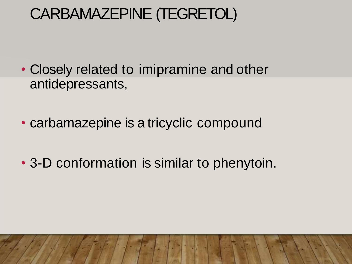### CARBAMAZEPINE (TEGRETOL)

- Closely related to imipramine and other antidepressants,
- carbamazepine is a tricyclic compound
- 3-D conformation is similar to phenytoin.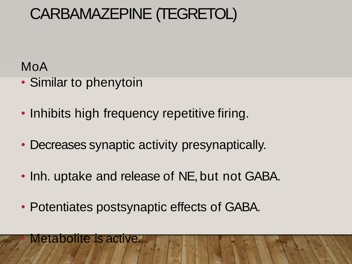### CARBAMAZEPINE (TEGRETOL)

MoA

- Similar to phenytoin
- Inhibits high frequency repetitive firing.
- Decreases synaptic activity presynaptically.
- Inh. uptake and release of NE, but not GABA.
- Potentiates postsynaptic effects of GABA.

#### • Metabolite is active.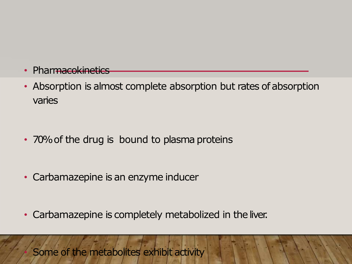- Pharmacokinetics
- Absorption is almost complete absorption but rates of absorption varies

- 70% of the drug is bound to plasma proteins
- Carbamazepine is an enzyme inducer
- Carbamazepine is completely metabolized in the liver.

Some of the metabolites exhibit activity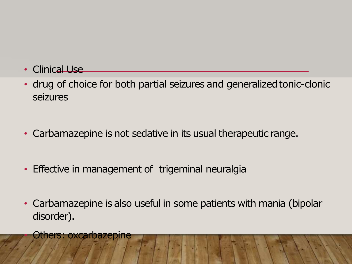- Clinical Use
- drug of choice for both partial seizures and generalized tonic-clonic seizures
- Carbamazepine is not sedative in its usual therapeutic range.
- Effective in management of trigeminal neuralgia
- Carbamazepine is also useful in some patients with mania (bipolar disorder).

**Others: oxcarbazepine**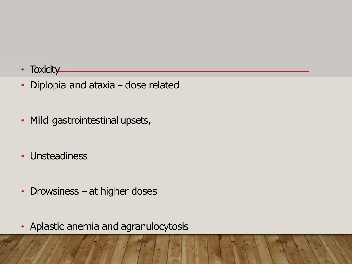- **Toxicity**
- Diplopia and ataxia dose related
- Mild gastrointestinal upsets,
- Unsteadiness
- Drowsiness at higher doses
- Aplastic anemia and agranulocytosis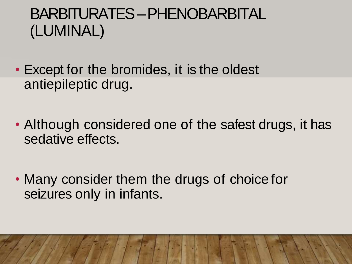### BARBITURATES –PHENOBARBITAL (LUMINAL)

- Except for the bromides, it is the oldest antiepileptic drug.
- Although considered one of the safest drugs, it has sedative effects.
- Many consider them the drugs of choice for seizures only in infants.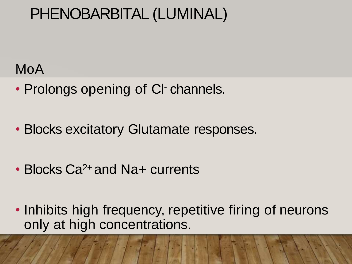### PHENOBARBITAL (LUMINAL)

### MoA

- Prolongs opening of CI-channels.
- Blocks excitatory Glutamate responses.
- Blocks Ca<sup>2+</sup> and Na+ currents
- Inhibits high frequency, repetitive firing of neurons only at high concentrations.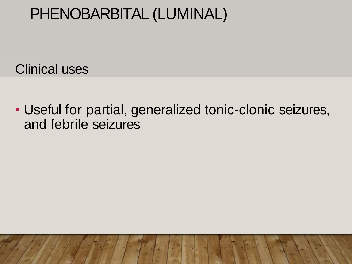### PHENOBARBITAL (LUMINAL)

Clinical uses

• Useful for partial, generalized tonic-clonic seizures, and febrile seizures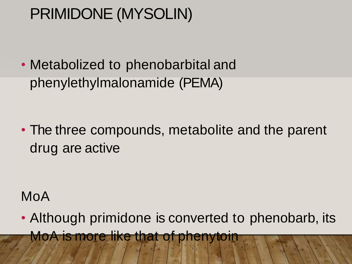• Metabolized to phenobarbital and phenylethylmalonamide (PEMA)

• The three compounds, metabolite and the parent drug are active

### MoA

• Although primidone is converted to phenobarb, its MoA is more like that of phenytoin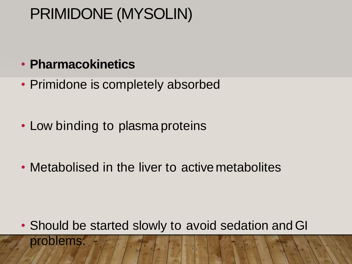#### • **Pharmacokinetics**

• Primidone is completely absorbed

- Low binding to plasma proteins
- Metabolised in the liver to active metabolites

• Should be started slowly to avoid sedation and GI problems.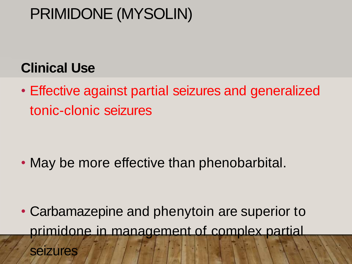### **Clinical Use**

• Effective against partial seizures and generalized tonic-clonic seizures

• May be more effective than phenobarbital.

• Carbamazepine and phenytoin are superior to primidone in management of complex partial seizures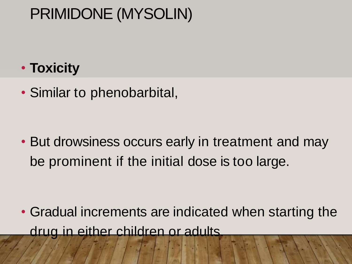### • **Toxicity**

• Similar to phenobarbital,

• But drowsiness occurs early in treatment and may be prominent if the initial dose is too large.

• Gradual increments are indicated when starting the drug in either children or adults.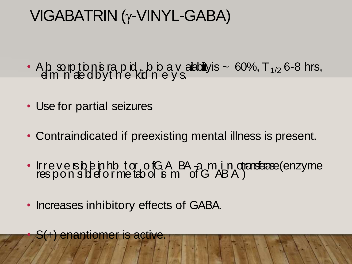### $VIGABATRIN (y-VINYL-GABA)$

- Ab sopt<br>dm nat t tion<br>edl b  $\overline{5}$ y r t a h p , id , b i<br>e kid n io e a y v s. alabiliy is  $\sim 60\%$ , T<sub>1/2</sub> 6-8 hrs,
- Use for partial seizures
- Contraindicated if preexisting mental illness is present.
- I r r ë, r  $\overline{\mathcal{S}}$ e p v o e n rs s<br>S  $\frac{1}{2}$ l l e e i f n o h r ib m it **e** o t r ofGA l<br>tabol is m BA .<br>O f a G m A, i B n <sub>)</sub> dra<del>daae</del>(enzyme<br>A
- Increases inhibitory effects of GABA.

enantiomer is active.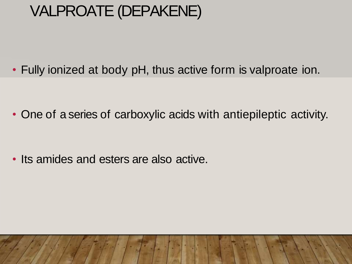### VALPROATE (DEPAKENE)

• Fully ionized at body pH, thus active form is valproate ion.

• One of a series of carboxylic acids with antiepileptic activity.

• Its amides and esters are also active.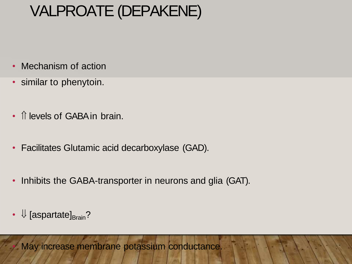### VALPROATE (DEPAKENE)

- Mechanism of action
- similar to phenytoin.
- *I* levels of GABA in brain.
- Facilitates Glutamic acid decarboxylase (GAD).
- Inhibits the GABA-transporter in neurons and glia (GAT).
- $\Downarrow$  [aspartate] $_{\text{Brain}}$ ?

• May increase membrane potassium conductance.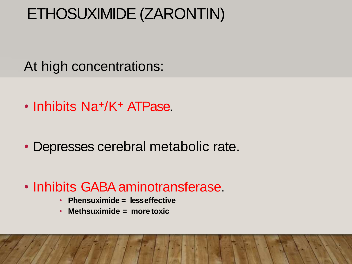### ETHOSUXIMIDE (ZARONTIN)

At high concentrations:

- Inhibits Na+/K<sup>+</sup> ATPase.
- Depresses cerebral metabolic rate.
- Inhibits GABA aminotransferase
	- **Phensuximide = lesseffective**
	- **Methsuximide = more toxic**

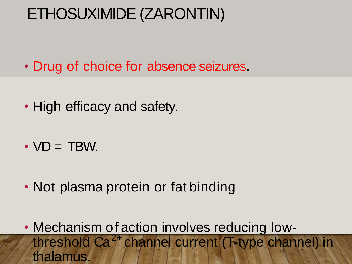### ETHOSUXIMIDE (ZARONTIN)

- Drug of choice for absence seizures.
- High efficacy and safety.
- $\cdot$  VD = TBW.
- Not plasma protein or fat binding
- Mechanism of action involves reducing lowthreshold Ca<sup>2+</sup> channel current (T-type channel) in thalamus.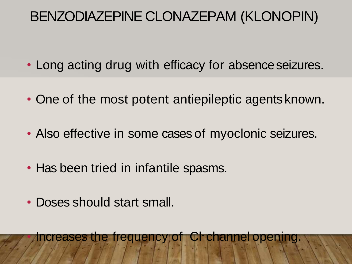### BENZODIAZEPINE CLONAZEPAM (KLONOPIN)

- Long acting drug with efficacy for absence seizures.
- One of the most potent antiepileptic agents known.
- Also effective in some cases of myoclonic seizures.
- Has been tried in infantile spasms.
- Doses should start small.

• Increases the frequency of Cl- channel opening.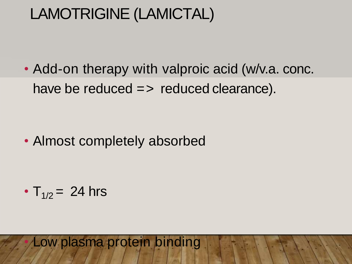### LAMOTRIGINE (LAMICTAL)

• Add-on therapy with valproic acid (w/v.a. conc. have be reduced  $\Rightarrow$  reduced clearance).

• Almost completely absorbed

•  $T_{1/2}$  = 24 hrs

Low plasma protein binding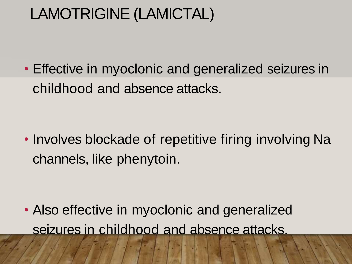### LAMOTRIGINE (LAMICTAL)

• Effective in myoclonic and generalized seizures in childhood and absence attacks.

• Involves blockade of repetitive firing involving Na channels, like phenytoin.

• Also effective in myoclonic and generalized seizures in childhood and absence attacks.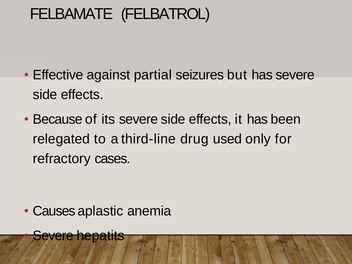### FELBAMATE (FELBATROL)

- Effective against partial seizures but has severe side effects.
- Because of its severe side effects, it has been relegated to a third-line drug used only for refractory cases.

• Causes aplastic anemia

**Severe hepatits**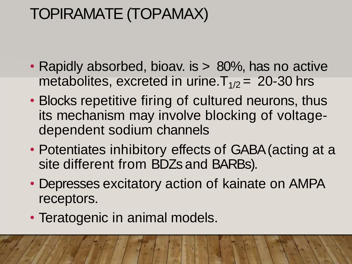### TOPIRAMATE (TOPAMAX)

- Rapidly absorbed, bioav. is > 80%, has no active metabolites, excreted in urine.  $T_{1/2}$  = 20-30 hrs
- Blocks repetitive firing of cultured neurons, thus its mechanism may involve blocking of voltagedependent sodium channels
- Potentiates inhibitory effects of GABA (acting at a site different from BDZs and BARBs).
- Depresses excitatory action of kainate on AMPA receptors.
- Teratogenic in animal models.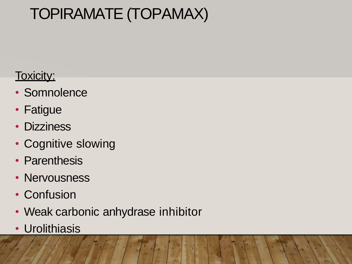### TOPIRAMATE (TOPAMAX)

#### Toxicity:

- Somnolence
- Fatigue
- Dizziness
- Cognitive slowing
- Parenthesis
- Nervousness
- Confusion
- Weak carbonic anhydrase inhibitor
- Urolithiasis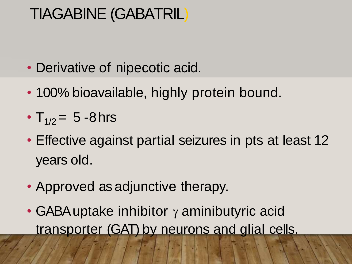### TIAGABINE (GABATRIL)

- Derivative of nipecotic acid.
- 100% bioavailable, highly protein bound.
- $T_{1/2} = 5 8$  hrs
- Effective against partial seizures in pts at least 12 years old.
- Approved as adjunctive therapy.
- GABA uptake inhibitor  $\gamma$  aminibutyric acid transporter (GAT) by neurons and glial cells.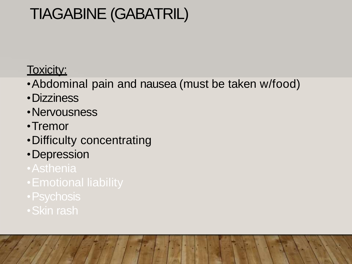### TIAGABINE (GABATRIL)

#### Toxicity:

- •Abdominal pain and nausea (must be taken w/food)
- •Dizziness
- •Nervousness
- •Tremor
- •Difficulty concentrating
- •Depression
- 
- 
- 
- •Skin rash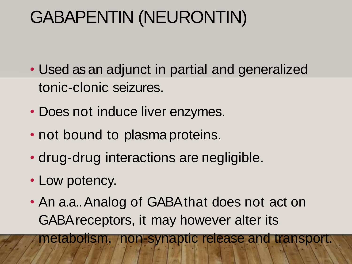# GABAPENTIN (NEURONTIN)

- Used as an adjunct in partial and generalized tonic-clonic seizures.
- Does not induce liver enzymes.
- not bound to plasma proteins.
- drug-drug interactions are negligible.
- Low potency.
- An a.a.. Analog of GABA that does not act on GABA receptors, it may however alter its

metabolism, non-synaptic release and transport.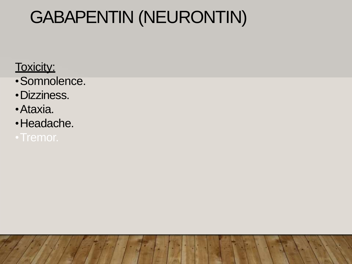# GABAPENTIN (NEURONTIN)

Toxicity:

- •Somnolence.
- •Dizziness.
- •Ataxia.
- •Headache.
-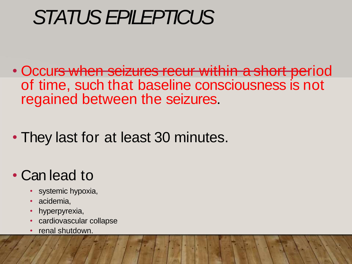# STATUS EPILEPTICUS

- Occurs when seizures recur within a short period of time, such that baseline consciousness is not regained between the seizures.
- They last for at least 30 minutes.

### • Can lead to

- systemic hypoxia,
- acidemia,
- hyperpyrexia,
- cardiovascular collapse
- renal shutdown.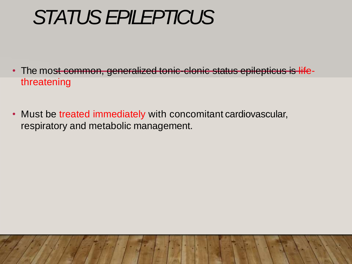# STATUS EPILEPTICUS

- The most common, generalized tonic-clonic status epilepticus is lifethreatening
- Must be treated immediately with concomitant cardiovascular, respiratory and metabolic management.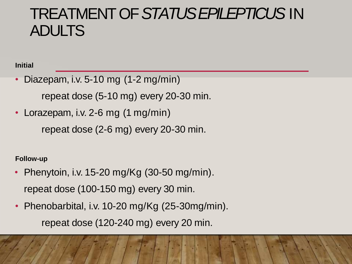### TREATMENT OF *STATUS EPILEPTICUS* IN ADULTS

**Initial**

• Diazepam, i.v. 5-10 mg (1-2 mg/min)

repeat dose (5-10 mg) every 20-30 min.

• Lorazepam, i.v. 2-6 mg (1 mg/min)

repeat dose (2-6 mg) every 20-30 min.

**Follow-up**

- Phenytoin, i.v. 15-20 mg/Kg (30-50 mg/min). repeat dose (100-150 mg) every 30 min.
- Phenobarbital, i.v. 10-20 mg/Kg (25-30mg/min). repeat dose (120-240 mg) every 20 min.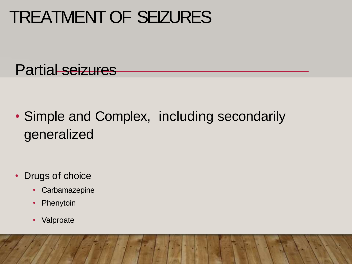Partial seizures

• Simple and Complex, including secondarily generalized

- Drugs of choice
	- Carbamazepine
	- Phenytoin
	- Valproate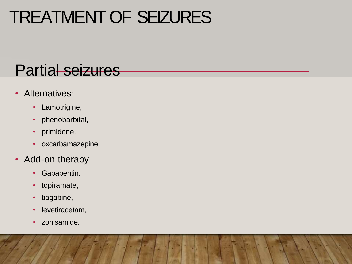### Partial seizures

- Alternatives:
	- Lamotrigine,
	- phenobarbital,
	- primidone,
	- oxcarbamazepine.
- Add-on therapy
	- Gabapentin,
	- topiramate,
	- tiagabine,
	- levetiracetam,
	- zonisamide.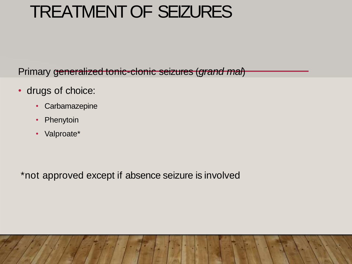Primary generalized tonic-clonic seizures (*grand mal*)

- drugs of choice:
	- Carbamazepine
	- Phenytoin
	- Valproate\*

\*not approved except if absence seizure is involved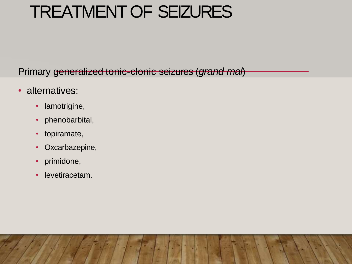Primary generalized tonic-clonic seizures (*grand mal*)

- alternatives:
	- lamotrigine,
	- phenobarbital,
	- topiramate,
	- Oxcarbazepine,
	- primidone,
	- levetiracetam.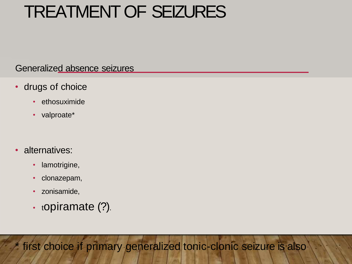Generalized absence seizures

- drugs of choice
	- ethosuximide
	- valproate\*
- alternatives:
	- lamotrigine,
	- clonazepam,
	- zonisamide,
	- $\cdot$  topiramate (?).

first choice if primary generalized tonic-clonic seizure is also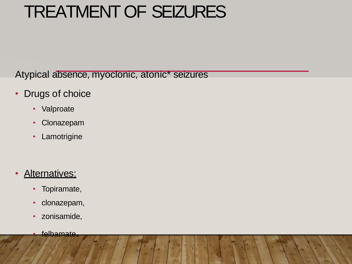Atypical absence, myoclonic, atonic\* seizures

- Drugs of choice
	- Valproate
	- Clonazepam
	- Lamotrigine

- Alternatives:
	- Topiramate,
	- clonazepam,
	- zonisamide,
		- felbamate**.**